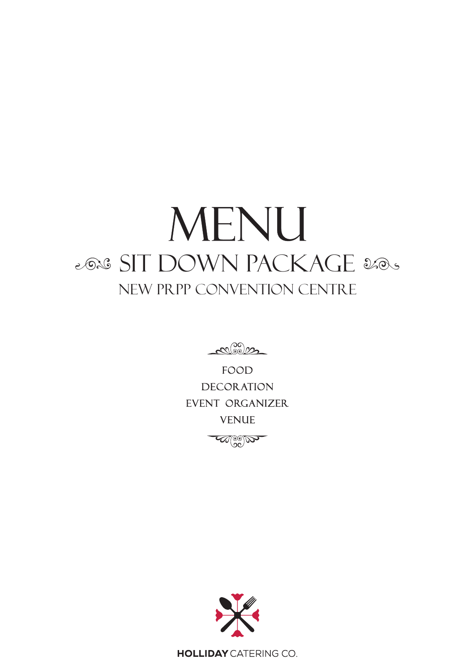## MENU 2028 SIT DOWN PACKAGE 2005 NEW PRPP CONVENTION CENTRE

 $\mathcal{C}^{(0)}_{\infty}$ 

**FOOD DECORATION** EVENT organizer **VENUE** 

 $\omega_{\odot}$ 



**HOLLIDAY** CATERING CO.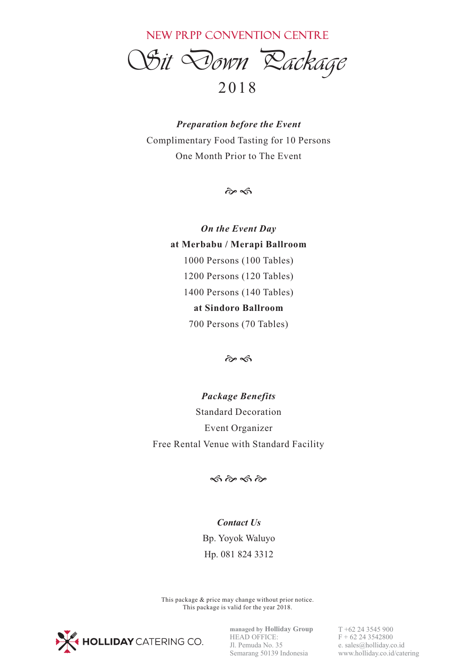NEW PRPP CONVENTION CENTRE

*Sit Down Package* 

## 20 1 8

*Preparation before the Event* Complimentary Food Tasting for 10 Persons One Month Prior to The Event

 $\hat{\alpha}$ 

*On the Event Day* **at Merbabu / Merapi Ballroom** 1000 Persons (100 Tables) 1200 Persons (120 Tables) 1400 Persons (140 Tables) **at Sindoro Ballroom** 700 Persons (70 Tables)

 $\hat{\sigma}$ 

*Package Benefits* Standard Decoration Event Organizer Free Rental Venue with Standard Facility

 $\hat{\infty}$   $\hat{\infty}$   $\hat{\infty}$ 

## *Contact Us* Bp. Yoyok Waluyo Hp. 081 824 3312

This package & price may change without prior notice. This package is valid for the year 2018.



**managed by Holliday Group** HEAD OFFICE: Jl. Pemuda No. 35 Semarang 50139 Indonesia T +62 24 3545 900  $F + 62243542800$ e. sales@holliday.co.id www.holliday.co.id/catering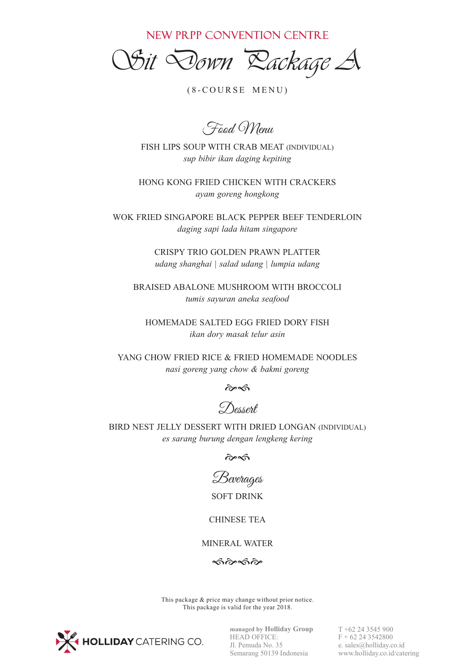NEW PRPP CONVENTION CENTRE

*Sit Down Package A*

 $(8-COURSE MEMU)$ 

Food Menu

FISH LIPS SOUP WITH CRAB MEAT (INDIVIDUAL) *sup bibir ikan daging kepiting*

HONG KONG FRIED CHICKEN WITH CRACKERS *ayam goreng hongkong*

WOK FRIED SINGAPORE BLACK PEPPER BEEF TENDERLOIN *daging sapi lada hitam singapore*

> CRISPY TRIO GOLDEN PRAWN PLATTER *udang shanghai | salad udang | lumpia udang*

BRAISED ABALONE MUSHROOM WITH BROCCOLI *tumis sayuran aneka seafood*

HOMEMADE SALTED EGG FRIED DORY FISH *ikan dory masak telur asin*

YANG CHOW FRIED RICE & FRIED HOMEMADE NOODLES *nasi goreng yang chow & bakmi goreng*

 $\hat{\alpha}$ 

Dessert

BIRD NEST JELLY DESSERT WITH DRIED LONGAN (INDIVIDUAL) *es sarang burung dengan lengkeng kering*

 $\hat{\alpha}$ 



SOFT DRINK

CHINESE TEA

MINERAL WATER

 $\hat{\infty}$   $\hat{\infty}$ 

This package & price may change without prior notice. This package is valid for the year 2018.



**managed by Holliday Group** HEAD OFFICE: Jl. Pemuda No. 35 Semarang 50139 Indonesia

T +62 24 3545 900  $F + 62243542800$ e. sales@holliday.co.id www.holliday.co.id/catering